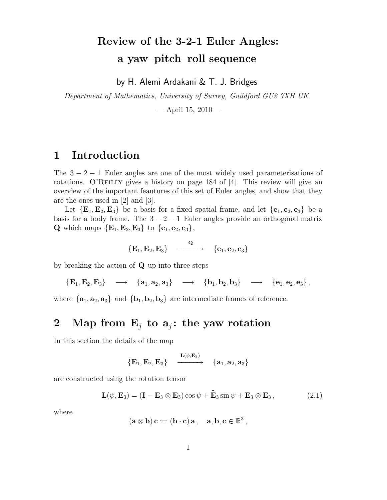# Review of the 3-2-1 Euler Angles: a yaw–pitch–roll sequence

by H. Alemi Ardakani & T. J. Bridges

Department of Mathematics, University of Surrey, Guildford GU2 7XH UK

— April 15, 2010—

#### 1 Introduction

The  $3 - 2 - 1$  Euler angles are one of the most widely used parameterisations of rotations. O'REILLY gives a history on page 184 of  $[4]$ . This review will give an overview of the important feautures of this set of Euler angles, and show that they are the ones used in [2] and [3].

Let  $\{E_1, E_2, E_3\}$  be a basis for a fixed spatial frame, and let  $\{e_1, e_2, e_3\}$  be a basis for a body frame. The  $3 - 2 - 1$  Euler angles provide an orthogonal matrix **Q** which maps  ${E_1, E_2, E_3}$  to  ${e_1, e_2, e_3}$ ,

$$
\left\{\mathbf{E}_1,\mathbf{E}_2,\mathbf{E}_3\right\} \quad \xrightarrow{\quad \mathbf{Q}} \quad \left\{\mathbf{e}_1,\mathbf{e}_2,\mathbf{e}_3\right\}
$$

by breaking the action of Q up into three steps

 ${E_1, E_2, E_3} \longrightarrow {a_1, a_2, a_3} \longrightarrow {b_1, b_2, b_3} \longrightarrow {e_1, e_2, e_3}$ 

where  ${a_1, a_2, a_3}$  and  ${b_1, b_2, b_3}$  are intermediate frames of reference.

#### 2 Map from  $E_i$  to  $a_i$ : the yaw rotation

In this section the details of the map

$$
\left\{{\color{blue} {\bf E}_1, {\color{blue} {\bf E}_2}, {\color{blue} {\bf E}_3}\right\} \quad \xrightarrow{\begin{array}{c} {\color{blue} {\bf L}(\psi,{\color{blue} {\bf E}_3)} \\ \text{ \ } \end{array}} \quad \left\{{\color{blue} {\bf a}_1,{\color{blue} {\bf a}_2},{\color{blue} {\bf a}_3}\right\}
$$

are constructed using the rotation tensor

$$
\mathbf{L}(\psi, \mathbf{E}_3) = (\mathbf{I} - \mathbf{E}_3 \otimes \mathbf{E}_3) \cos \psi + \widehat{\mathbf{E}}_3 \sin \psi + \mathbf{E}_3 \otimes \mathbf{E}_3, \qquad (2.1)
$$

where

$$
(\mathbf{a} \otimes \mathbf{b})\mathbf{c} := (\mathbf{b} \cdot \mathbf{c})\mathbf{a}, \quad \mathbf{a}, \mathbf{b}, \mathbf{c} \in \mathbb{R}^3,
$$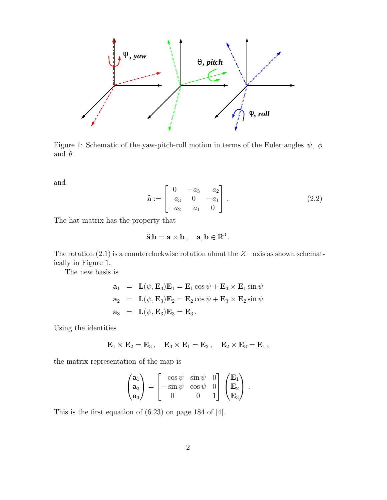

Figure 1: Schematic of the yaw-pitch-roll motion in terms of the Euler angles  $\psi$ ,  $\phi$ and  $\theta$ .

and

$$
\hat{\mathbf{a}} := \begin{bmatrix} 0 & -a_3 & a_2 \\ a_3 & 0 & -a_1 \\ -a_2 & a_1 & 0 \end{bmatrix} . \tag{2.2}
$$

The hat-matrix has the property that

$$
\widehat{\mathbf{a}}\,\mathbf{b}=\mathbf{a}\times\mathbf{b}\,,\quad \mathbf{a},\mathbf{b}\in\mathbb{R}^3\,.
$$

The rotation (2.1) is a counterclockwise rotation about the Z−axis as shown schematically in Figure 1.

The new basis is

$$
\mathbf{a}_1 = \mathbf{L}(\psi, \mathbf{E}_3) \mathbf{E}_1 = \mathbf{E}_1 \cos \psi + \mathbf{E}_3 \times \mathbf{E}_1 \sin \psi
$$
  
\n
$$
\mathbf{a}_2 = \mathbf{L}(\psi, \mathbf{E}_3) \mathbf{E}_2 = \mathbf{E}_2 \cos \psi + \mathbf{E}_3 \times \mathbf{E}_2 \sin \psi
$$
  
\n
$$
\mathbf{a}_3 = \mathbf{L}(\psi, \mathbf{E}_3) \mathbf{E}_3 = \mathbf{E}_3.
$$

Using the identities

$$
\mathbf{E}_1\times\mathbf{E}_2=\mathbf{E}_3\,,\quad \mathbf{E}_3\times\mathbf{E}_1=\mathbf{E}_2\,,\quad \mathbf{E}_2\times\mathbf{E}_3=\mathbf{E}_1\,,
$$

the matrix representation of the map is

$$
\begin{pmatrix}{\bf a}_1\\ {\bf a}_2\\ {\bf a}_3\end{pmatrix}=\begin{bmatrix} \cos\psi & \sin\psi & 0\\ -\sin\psi & \cos\psi & 0\\ 0 & 0 & 1 \end{bmatrix}\begin{pmatrix}{\bf E}_1\\ {\bf E}_2\\ {\bf E}_3\end{pmatrix}\,.
$$

This is the first equation of (6.23) on page 184 of [4].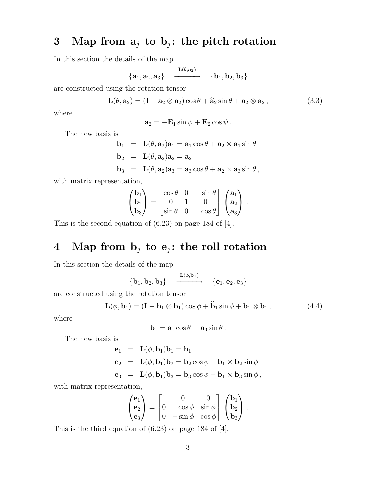# 3 Map from  $a_j$  to  $b_j$ : the pitch rotation

In this section the details of the map

$$
\{{\bf a}_1,{\bf a}_2,{\bf a}_3\}\quad \xrightarrow{\mathbf{L}(\theta,{\bf a}_2)}\quad \{{\bf b}_1,{\bf b}_2,{\bf b}_3\}
$$

are constructed using the rotation tensor

$$
\mathbf{L}(\theta, \mathbf{a}_2) = (\mathbf{I} - \mathbf{a}_2 \otimes \mathbf{a}_2) \cos \theta + \mathbf{\widehat{a}}_2 \sin \theta + \mathbf{a}_2 \otimes \mathbf{a}_2, \qquad (3.3)
$$

where

$$
\mathbf{a}_2 = -\mathbf{E}_1 \sin \psi + \mathbf{E}_2 \cos \psi.
$$

The new basis is

$$
\mathbf{b}_1 = \mathbf{L}(\theta, \mathbf{a}_2)\mathbf{a}_1 = \mathbf{a}_1 \cos \theta + \mathbf{a}_2 \times \mathbf{a}_1 \sin \theta
$$
  
\n
$$
\mathbf{b}_2 = \mathbf{L}(\theta, \mathbf{a}_2)\mathbf{a}_2 = \mathbf{a}_2
$$
  
\n
$$
\mathbf{b}_3 = \mathbf{L}(\theta, \mathbf{a}_2)\mathbf{a}_3 = \mathbf{a}_3 \cos \theta + \mathbf{a}_2 \times \mathbf{a}_3 \sin \theta,
$$

with matrix representation,

$$
\begin{pmatrix} \mathbf{b}_1 \\ \mathbf{b}_2 \\ \mathbf{b}_3 \end{pmatrix} = \begin{bmatrix} \cos \theta & 0 & -\sin \theta \\ 0 & 1 & 0 \\ \sin \theta & 0 & \cos \theta \end{bmatrix} \begin{pmatrix} \mathbf{a}_1 \\ \mathbf{a}_2 \\ \mathbf{a}_3 \end{pmatrix} \,.
$$

This is the second equation of (6.23) on page 184 of [4].

# 4 Map from  $b_j$  to  $e_j$ : the roll rotation

In this section the details of the map

$$
\left\{ \mathbf{b}_1, \mathbf{b}_2, \mathbf{b}_3 \right\} \quad \xrightarrow{\mathbf{L}(\phi,\mathbf{b}_1)} \quad \left\{ \mathbf{e}_1, \mathbf{e}_2, \mathbf{e}_3 \right\}
$$

are constructed using the rotation tensor

$$
\mathbf{L}(\phi, \mathbf{b}_1) = (\mathbf{I} - \mathbf{b}_1 \otimes \mathbf{b}_1) \cos \phi + \widehat{\mathbf{b}}_1 \sin \phi + \mathbf{b}_1 \otimes \mathbf{b}_1, \qquad (4.4)
$$

where

$$
\mathbf{b}_1 = \mathbf{a}_1 \cos \theta - \mathbf{a}_3 \sin \theta.
$$

The new basis is

$$
\begin{aligned}\n\mathbf{e}_1 &= \mathbf{L}(\phi, \mathbf{b}_1) \mathbf{b}_1 = \mathbf{b}_1 \\
\mathbf{e}_2 &= \mathbf{L}(\phi, \mathbf{b}_1) \mathbf{b}_2 = \mathbf{b}_2 \cos \phi + \mathbf{b}_1 \times \mathbf{b}_2 \sin \phi \\
\mathbf{e}_3 &= \mathbf{L}(\phi, \mathbf{b}_1) \mathbf{b}_3 = \mathbf{b}_3 \cos \phi + \mathbf{b}_1 \times \mathbf{b}_3 \sin \phi,\n\end{aligned}
$$

with matrix representation,

$$
\begin{pmatrix} \mathbf{e}_1 \\ \mathbf{e}_2 \\ \mathbf{e}_3 \end{pmatrix} = \begin{bmatrix} 1 & 0 & 0 \\ 0 & \cos\phi & \sin\phi \\ 0 & -\sin\phi & \cos\phi \end{bmatrix} \begin{pmatrix} \mathbf{b}_1 \\ \mathbf{b}_2 \\ \mathbf{b}_3 \end{pmatrix} \,.
$$

This is the third equation of (6.23) on page 184 of [4].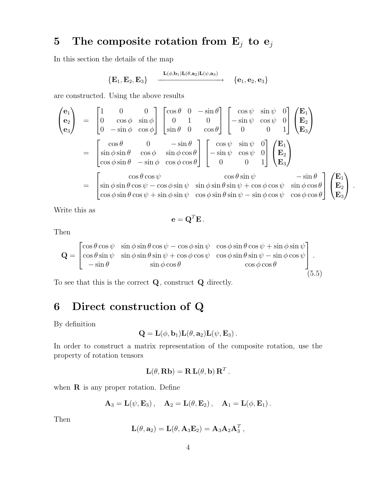# 5 The composite rotation from  $E_j$  to  $e_j$

In this section the details of the map

$$
\big\{{\mathbf E}_1, {\mathbf E}_2, {\mathbf E}_3\big\} \quad \xrightarrow{\mathbf L(\phi, \mathbf b_1)\mathbf L(\theta, \mathbf a_2)\mathbf L(\psi, \mathbf a_3)} \big\{ \mathbf e_1, \mathbf e_2, \mathbf e_3\big\}
$$

are constructed. Using the above results

$$
\begin{pmatrix}\n\mathbf{e}_{1} \\
\mathbf{e}_{2} \\
\mathbf{e}_{3}\n\end{pmatrix} = \begin{bmatrix}\n1 & 0 & 0 \\
0 & \cos \phi & \sin \phi \\
0 & -\sin \phi & \cos \phi\n\end{bmatrix} \begin{bmatrix}\n\cos \theta & 0 & -\sin \theta \\
0 & 1 & 0 \\
\sin \theta & 0 & \cos \theta\n\end{bmatrix} \begin{bmatrix}\n\cos \psi & \sin \psi & 0 \\
-\sin \psi & \cos \psi & 0 \\
0 & 0 & 1\n\end{bmatrix} \begin{bmatrix}\n\mathbf{E}_{1} \\
\mathbf{E}_{2} \\
\mathbf{E}_{3}\n\end{bmatrix}
$$
  
\n
$$
= \begin{bmatrix}\n\cos \theta & 0 & -\sin \theta \\
\sin \phi \sin \theta & \cos \phi & \sin \phi \cos \theta \\
\cos \phi \sin \theta & -\sin \phi & \cos \phi \cos \theta\n\end{bmatrix} \begin{bmatrix}\n\cos \psi & \sin \psi & 0 \\
-\sin \psi & \cos \psi & 0 \\
0 & 0 & 1\n\end{bmatrix} \begin{bmatrix}\n\mathbf{E}_{1} \\
\mathbf{E}_{2} \\
\mathbf{E}_{3}\n\end{bmatrix}
$$
  
\n
$$
= \begin{bmatrix}\n\cos \theta \cos \psi & \cos \theta \sin \psi & -\sin \theta \\
\sin \phi \sin \theta \cos \psi - \cos \phi \sin \psi & \sin \phi \sin \theta \sin \psi + \cos \phi \cos \psi & \sin \phi \cos \theta \\
\cos \phi \sin \theta \cos \psi + \sin \phi \sin \psi & \cos \phi \sin \theta \sin \psi - \sin \phi \cos \psi & \cos \phi \cos \theta\n\end{bmatrix} \begin{bmatrix}\n\mathbf{E}_{1} \\
\mathbf{E}_{2} \\
\mathbf{E}_{3}\n\end{bmatrix}.
$$

Write this as

$$
\mathbf{e} = \mathbf{Q}^T \mathbf{E}.
$$

Then

$$
\mathbf{Q} = \begin{bmatrix} \cos\theta\cos\psi & \sin\phi\sin\theta\cos\psi - \cos\phi\sin\psi & \cos\phi\sin\theta\cos\psi + \sin\phi\sin\psi \\ \cos\theta\sin\psi & \sin\phi\sin\theta\sin\psi + \cos\phi\cos\psi & \cos\phi\sin\theta\sin\psi - \sin\phi\cos\psi \\ -\sin\theta & \sin\phi\cos\theta & \cos\phi\cos\theta \end{bmatrix}.
$$
\n(5.5)

To see that this is the correct Q, construct Q directly.

## 6 Direct construction of Q

By definition

$$
\mathbf{Q} = \mathbf{L}(\phi, \mathbf{b}_1) \mathbf{L}(\theta, \mathbf{a}_2) \mathbf{L}(\psi, \mathbf{E}_3).
$$

In order to construct a matrix representation of the composite rotation, use the property of rotation tensors

$$
\mathbf{L}(\theta, \mathbf{R}\mathbf{b}) = \mathbf{R}\mathbf{L}(\theta, \mathbf{b})\mathbf{R}^T.
$$

when  $\bf{R}$  is any proper rotation. Define

$$
\mathbf{A}_3=\mathbf{L}(\psi,\mathbf{E}_3)\,,\quad \mathbf{A}_2=\mathbf{L}(\theta,\mathbf{E}_2)\,,\quad \mathbf{A}_1=\mathbf{L}(\phi,\mathbf{E}_1)\,.
$$

Then

$$
\mathbf{L}(\theta, \mathbf{a}_2) = \mathbf{L}(\theta, \mathbf{A}_3 \mathbf{E}_2) = \mathbf{A}_3 \mathbf{A}_2 \mathbf{A}_3^T,
$$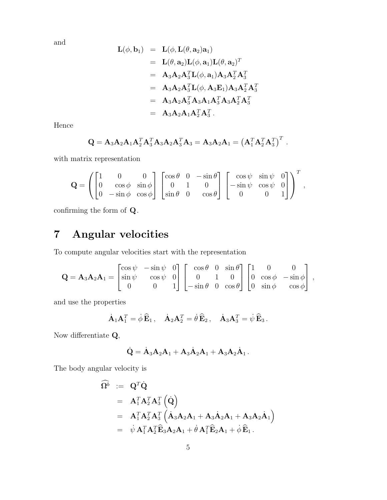and

$$
\begin{array}{rcl} \mathbf{L}(\phi,\mathbf{b}_1) & = & \mathbf{L}(\phi,\mathbf{L}(\theta,\mathbf{a}_2)\mathbf{a}_1) \\ \\ & = & \mathbf{L}(\theta,\mathbf{a}_2)\mathbf{L}(\phi,\mathbf{a}_1)\mathbf{L}(\theta,\mathbf{a}_2)^T \\ \\ & = & \mathbf{A}_3\mathbf{A}_2\mathbf{A}_3^T\mathbf{L}(\phi,\mathbf{a}_1)\mathbf{A}_3\mathbf{A}_2^T\mathbf{A}_3^T \\ \\ & = & \mathbf{A}_3\mathbf{A}_2\mathbf{A}_3^T\mathbf{L}(\phi,\mathbf{A}_3\mathbf{E}_1)\mathbf{A}_3\mathbf{A}_2^T\mathbf{A}_3^T \\ \\ & = & \mathbf{A}_3\mathbf{A}_2\mathbf{A}_3^T\mathbf{A}_3\mathbf{A}_1\mathbf{A}_3^T\mathbf{A}_3\mathbf{A}_2^T\mathbf{A}_3^T \\ \\ & = & \mathbf{A}_3\mathbf{A}_2\mathbf{A}_1\mathbf{A}_2^T\mathbf{A}_3^T. \end{array}
$$

Hence

$$
Q = A_3 A_2 A_1 A_2^T A_3^T A_3 A_2 A_3^T A_3 = A_3 A_2 A_1 = (A_1^T A_2^T A_3^T)^T.
$$

with matrix representation

$$
\mathbf{Q} = \left( \begin{bmatrix} 1 & 0 & 0 \\ 0 & \cos \phi & \sin \phi \\ 0 & -\sin \phi & \cos \phi \end{bmatrix} \begin{bmatrix} \cos \theta & 0 & -\sin \theta \\ 0 & 1 & 0 \\ \sin \theta & 0 & \cos \theta \end{bmatrix} \begin{bmatrix} \cos \psi & \sin \psi & 0 \\ -\sin \psi & \cos \psi & 0 \\ 0 & 0 & 1 \end{bmatrix} \right)^T,
$$

confirming the form of Q.

# 7 Angular velocities

To compute angular velocities start with the representation

$$
\mathbf{Q} = \mathbf{A}_3 \mathbf{A}_2 \mathbf{A}_1 = \begin{bmatrix} \cos \psi & -\sin \psi & 0 \\ \sin \psi & \cos \psi & 0 \\ 0 & 0 & 1 \end{bmatrix} \begin{bmatrix} \cos \theta & 0 & \sin \theta \\ 0 & 1 & 0 \\ -\sin \theta & 0 & \cos \theta \end{bmatrix} \begin{bmatrix} 1 & 0 & 0 \\ 0 & \cos \phi & -\sin \phi \\ 0 & \sin \phi & \cos \phi \end{bmatrix},
$$

and use the properties

$$
\dot{\mathbf{A}}_1\mathbf{A}_1^T = \dot{\phi}\,\widehat{\mathbf{E}}_1\,,\quad \dot{\mathbf{A}}_2\mathbf{A}_2^T = \dot{\theta}\,\widehat{\mathbf{E}}_2\,,\quad \dot{\mathbf{A}}_3\mathbf{A}_3^T = \dot{\psi}\,\widehat{\mathbf{E}}_3\,.
$$

Now differentiate Q,

$$
\dot{\mathbf{Q}} = \dot{\mathbf{A}}_3 \mathbf{A}_2 \mathbf{A}_1 + \mathbf{A}_3 \dot{\mathbf{A}}_2 \mathbf{A}_1 + \mathbf{A}_3 \mathbf{A}_2 \dot{\mathbf{A}}_1.
$$

The body angular velocity is

$$
\begin{array}{rcl}\n\widehat{\Omega^b} & := & \mathbf{Q}^T \dot{\mathbf{Q}} \\
 & = & \mathbf{A}_1^T \mathbf{A}_2^T \mathbf{A}_3^T \left( \dot{\mathbf{Q}} \right) \\
 & = & \mathbf{A}_1^T \mathbf{A}_2^T \mathbf{A}_3^T \left( \dot{\mathbf{A}}_3 \mathbf{A}_2 \mathbf{A}_1 + \mathbf{A}_3 \dot{\mathbf{A}}_2 \mathbf{A}_1 + \mathbf{A}_3 \mathbf{A}_2 \dot{\mathbf{A}}_1 \right) \\
 & = & \dot{\psi} \mathbf{A}_1^T \mathbf{A}_2^T \widehat{\mathbf{E}}_3 \mathbf{A}_2 \mathbf{A}_1 + \dot{\theta} \mathbf{A}_1^T \widehat{\mathbf{E}}_2 \mathbf{A}_1 + \dot{\phi} \, \widehat{\mathbf{E}}_1.\n\end{array}
$$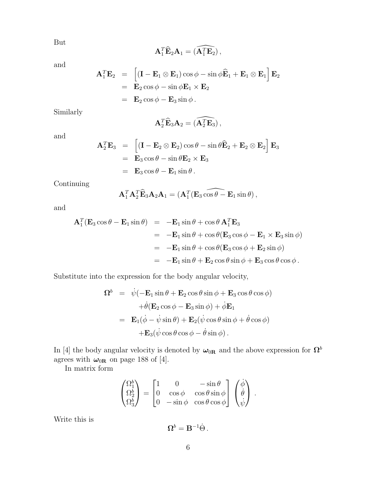But

$$
\mathbf{A}_1^T \widehat{\mathbf{E}}_2 \mathbf{A}_1 = (\widehat{\mathbf{A}_1^T \mathbf{E}_2}),
$$

and

$$
\mathbf{A}_1^T \mathbf{E}_2 = \left[ (\mathbf{I} - \mathbf{E}_1 \otimes \mathbf{E}_1) \cos \phi - \sin \phi \widehat{\mathbf{E}}_1 + \mathbf{E}_1 \otimes \mathbf{E}_1 \right] \mathbf{E}_2
$$
  
=  $\mathbf{E}_2 \cos \phi - \sin \phi \mathbf{E}_1 \times \mathbf{E}_2$   
=  $\mathbf{E}_2 \cos \phi - \mathbf{E}_3 \sin \phi$ .

Similarly

$$
\mathbf{A}_2^T \widehat{\mathbf{E}}_3 \mathbf{A}_2 = \widehat{(\mathbf{A}_2^T \mathbf{E}_3)},
$$

and

$$
\mathbf{A}_2^T \mathbf{E}_3 = \begin{bmatrix} (\mathbf{I} - \mathbf{E}_2 \otimes \mathbf{E}_2) \cos \theta - \sin \theta \hat{\mathbf{E}}_2 + \mathbf{E}_2 \otimes \mathbf{E}_2 \end{bmatrix} \mathbf{E}_3
$$
  
=  $\mathbf{E}_3 \cos \theta - \sin \theta \mathbf{E}_2 \times \mathbf{E}_3$   
=  $\mathbf{E}_3 \cos \theta - \mathbf{E}_1 \sin \theta$ .

Continuing

$$
\mathbf{A}_1^T \mathbf{A}_2^T \widehat{\mathbf{E}}_3 \mathbf{A}_2 \mathbf{A}_1 = (\mathbf{A}_1^T (\mathbf{E}_3 \widehat{\cos \theta} - \mathbf{E}_1 \sin \theta),
$$

and

$$
\mathbf{A}_1^T (\mathbf{E}_3 \cos \theta - \mathbf{E}_1 \sin \theta) = -\mathbf{E}_1 \sin \theta + \cos \theta \mathbf{A}_1^T \mathbf{E}_3
$$
  
\n
$$
= -\mathbf{E}_1 \sin \theta + \cos \theta (\mathbf{E}_3 \cos \phi - \mathbf{E}_1 \times \mathbf{E}_3 \sin \phi)
$$
  
\n
$$
= -\mathbf{E}_1 \sin \theta + \cos \theta (\mathbf{E}_3 \cos \phi + \mathbf{E}_2 \sin \phi)
$$
  
\n
$$
= -\mathbf{E}_1 \sin \theta + \mathbf{E}_2 \cos \theta \sin \phi + \mathbf{E}_3 \cos \theta \cos \phi.
$$

Substitute into the expression for the body angular velocity,

$$
\Omega^{b} = \dot{\psi}(-\mathbf{E}_{1}\sin\theta + \mathbf{E}_{2}\cos\theta\sin\phi + \mathbf{E}_{3}\cos\theta\cos\phi)
$$

$$
+ \dot{\theta}(\mathbf{E}_{2}\cos\phi - \mathbf{E}_{3}\sin\phi) + \dot{\phi}\mathbf{E}_{1}
$$

$$
= \mathbf{E}_{1}(\dot{\phi} - \dot{\psi}\sin\theta) + \mathbf{E}_{2}(\dot{\psi}\cos\theta\sin\phi + \dot{\theta}\cos\phi)
$$

$$
+ \mathbf{E}_{3}(\dot{\psi}\cos\theta\cos\phi - \dot{\theta}\sin\phi).
$$

In [4] the body angular velocity is denoted by  $\omega_{0R}$  and the above expression for  $\Omega^b$ agrees with  $\omega_{0R}$  on page 188 of [4].

In matrix form

$$
\begin{pmatrix} \Omega_1^b \\ \Omega_2^b \\ \Omega_3^b \end{pmatrix} = \begin{bmatrix} 1 & 0 & -\sin\theta \\ 0 & \cos\phi & \cos\theta\sin\phi \\ 0 & -\sin\phi & \cos\theta\cos\phi \end{bmatrix} \begin{pmatrix} \dot{\phi} \\ \dot{\theta} \\ \dot{\psi} \end{pmatrix} \,.
$$

Write this is

 $\mathbf{\Omega}^{b}=\mathbf{B}^{-1}\dot{\Theta}$  .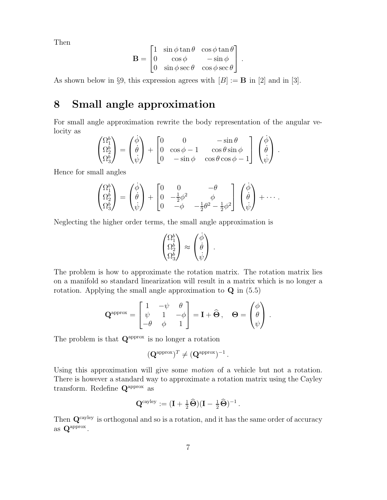Then

$$
\mathbf{B} = \begin{bmatrix} 1 & \sin \phi \tan \theta & \cos \phi \tan \theta \\ 0 & \cos \phi & -\sin \phi \\ 0 & \sin \phi \sec \theta & \cos \phi \sec \theta \end{bmatrix}.
$$

As shown below in §9, this expression agrees with  $[B] := \mathbf{B}$  in [2] and in [3].

### 8 Small angle approximation

For small angle approximation rewrite the body representation of the angular velocity as

$$
\begin{pmatrix} \Omega_1^b \\ \Omega_2^b \\ \Omega_3^b \end{pmatrix} = \begin{pmatrix} \dot{\phi} \\ \dot{\theta} \\ \dot{\psi} \end{pmatrix} + \begin{bmatrix} 0 & 0 & -\sin \theta \\ 0 & \cos \phi - 1 & \cos \theta \sin \phi \\ 0 & -\sin \phi & \cos \theta \cos \phi - 1 \end{bmatrix} \begin{pmatrix} \dot{\phi} \\ \dot{\theta} \\ \dot{\psi} \end{pmatrix}.
$$

Hence for small angles

$$
\begin{pmatrix} \Omega_1^b \\ \Omega_2^b \\ \Omega_3^b \end{pmatrix} = \begin{pmatrix} \dot{\phi} \\ \dot{\theta} \\ \dot{\psi} \end{pmatrix} + \begin{bmatrix} 0 & 0 & -\theta \\ 0 & -\frac{1}{2}\phi^2 & \phi \\ 0 & -\phi & -\frac{1}{2}\theta^2 - \frac{1}{2}\phi^2 \end{bmatrix} \begin{pmatrix} \dot{\phi} \\ \dot{\theta} \\ \dot{\psi} \end{pmatrix} + \cdots.
$$

Neglecting the higher order terms, the small angle approximation is

$$
\begin{pmatrix} \Omega_1^b \\ \Omega_2^b \\ \Omega_3^b \end{pmatrix} \approx \begin{pmatrix} \dot{\phi} \\ \dot{\theta} \\ \dot{\psi} \end{pmatrix} .
$$

The problem is how to approximate the rotation matrix. The rotation matrix lies on a manifold so standard linearization will result in a matrix which is no longer a rotation. Applying the small angle approximation to  $Q$  in  $(5.5)$ 

$$
\mathbf{Q}^{\text{approx}} = \begin{bmatrix} 1 & -\psi & \theta \\ \psi & 1 & -\phi \\ -\theta & \phi & 1 \end{bmatrix} = \mathbf{I} + \widehat{\Theta} \,, \quad \Theta = \begin{pmatrix} \phi \\ \theta \\ \psi \end{pmatrix} \,.
$$

The problem is that  $Q^{\text{approx}}$  is no longer a rotation

$$
(\mathbf{Q}^{\text{approx}})^T \neq (\mathbf{Q}^{\text{approx}})^{-1}.
$$

Using this approximation will give some motion of a vehicle but not a rotation. There is however a standard way to approximate a rotation matrix using the Cayley transform. Redefine  $Q^{\text{approx}}$  as

$$
\mathbf{Q}^{\text{cayley}}:=(\mathbf{I}+\tfrac{1}{2}\widehat{\boldsymbol{\Theta}})(\mathbf{I}-\tfrac{1}{2}\widehat{\boldsymbol{\Theta}})^{-1}\,.
$$

Then  $\mathbf{Q}^{\text{cayley}}$  is orthogonal and so is a rotation, and it has the same order of accuracy as  $Q^{\text{approx}}$ .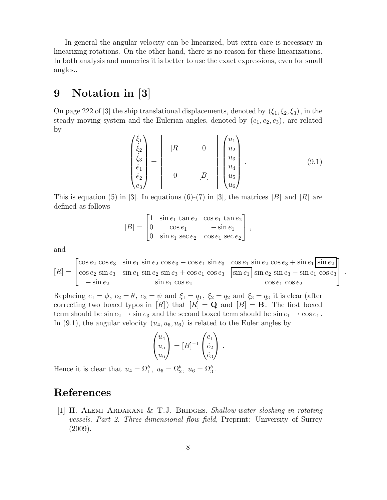In general the angular velocity can be linearized, but extra care is necessary in linearizing rotations. On the other hand, there is no reason for these linearizations. In both analysis and numerics it is better to use the exact expressions, even for small angles..

### 9 Notation in [3]

On page 222 of [3] the ship translational displacements, denoted by  $(\xi_1, \xi_2, \xi_3)$ , in the steady moving system and the Eulerian angles, denoted by  $(e_1, e_2, e_3)$ , are related by

$$
\begin{pmatrix} \dot{\xi}_1 \\ \dot{\xi}_2 \\ \dot{\xi}_3 \\ \dot{e}_1 \\ \dot{e}_2 \\ \dot{e}_3 \end{pmatrix} = \begin{bmatrix} [R] & 0 \\ 0 & [B] \\ 0 & [B] \\ 0 & [B] \end{bmatrix} \begin{pmatrix} u_1 \\ u_2 \\ u_3 \\ u_4 \\ u_5 \\ u_6 \end{pmatrix} . \tag{9.1}
$$

This is equation (5) in [3]. In equations (6)-(7) in [3], the matrices [B] and [R] are defined as follows

$$
[B] = \begin{bmatrix} 1 & \sin e_1 \tan e_2 & \cos e_1 \tan e_2 \\ 0 & \cos e_1 & -\sin e_1 \\ 0 & \sin e_1 \sec e_2 & \cos e_1 \sec e_2 \end{bmatrix},
$$

and

$$
[R] = \begin{bmatrix} \cos e_2 \cos e_3 & \sin e_1 \sin e_2 \cos e_3 - \cos e_1 \sin e_3 & \cos e_1 \sin e_2 \cos e_3 + \sin e_1 \sin e_2 \\ \cos e_2 \sin e_3 & \sin e_1 \sin e_2 \sin e_3 + \cos e_1 \cos e_3 & \sin e_1 \sin e_2 \sin e_3 - \sin e_1 \cos e_3 \\ -\sin e_2 & \sin e_1 \cos e_2 & \cos e_1 \cos e_2 \end{bmatrix}.
$$

Replacing  $e_1 = \phi$ ,  $e_2 = \theta$ ,  $e_3 = \psi$  and  $\xi_1 = q_1$ ,  $\xi_2 = q_2$  and  $\xi_3 = q_3$  it is clear (after correcting two boxed typos in [R]) that  $[R] = \mathbf{Q}$  and  $[B] = \mathbf{B}$ . The first boxed term should be  $\sin e_2 \rightarrow \sin e_3$  and the second boxed term should be  $\sin e_1 \rightarrow \cos e_1$ . In (9.1), the angular velocity  $(u_4, u_5, u_6)$  is related to the Euler angles by

$$
\begin{pmatrix} u_4 \\ u_5 \\ u_6 \end{pmatrix} = [B]^{-1} \begin{pmatrix} \dot{e}_1 \\ \dot{e}_2 \\ \dot{e}_3 \end{pmatrix}.
$$

Hence it is clear that  $u_4 = \Omega_1^b$ ,  $u_5 = \Omega_2^b$ ,  $u_6 = \Omega_3^b$ .

# References

[1] H. ALEMI ARDAKANI  $& T.J.$  BRIDGES. Shallow-water sloshing in rotating vessels. Part 2. Three-dimensional flow field, Preprint: University of Surrey (2009).